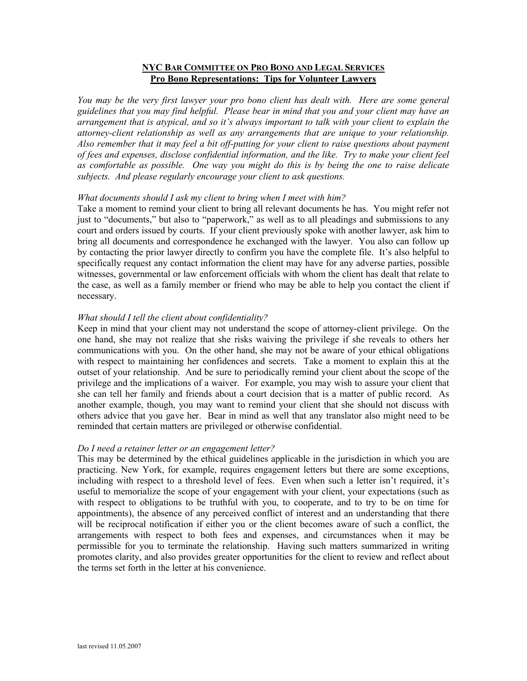# **NYC BAR COMMITTEE ON PRO BONO AND LEGAL SERVICES Pro Bono Representations: Tips for Volunteer Lawyers**

You may be the very first lawyer your pro bono client has dealt with. Here are some general *guidelines that you may find helpful. Please bear in mind that you and your client may have an arrangement that is atypical, and so it's always important to talk with your client to explain the attorney-client relationship as well as any arrangements that are unique to your relationship. Also remember that it may feel a bit off-putting for your client to raise questions about payment of fees and expenses, disclose confidential information, and the like. Try to make your client feel as comfortable as possible. One way you might do this is by being the one to raise delicate subjects. And please regularly encourage your client to ask questions.*

### *What documents should I ask my client to bring when I meet with him?*

Take a moment to remind your client to bring all relevant documents he has. You might refer not just to "documents," but also to "paperwork," as well as to all pleadings and submissions to any court and orders issued by courts. If your client previously spoke with another lawyer, ask him to bring all documents and correspondence he exchanged with the lawyer. You also can follow up by contacting the prior lawyer directly to confirm you have the complete file. It's also helpful to specifically request any contact information the client may have for any adverse parties, possible witnesses, governmental or law enforcement officials with whom the client has dealt that relate to the case, as well as a family member or friend who may be able to help you contact the client if necessary.

## *What should I tell the client about confidentiality?*

Keep in mind that your client may not understand the scope of attorney-client privilege. On the one hand, she may not realize that she risks waiving the privilege if she reveals to others her communications with you. On the other hand, she may not be aware of your ethical obligations with respect to maintaining her confidences and secrets. Take a moment to explain this at the outset of your relationship. And be sure to periodically remind your client about the scope of the privilege and the implications of a waiver. For example, you may wish to assure your client that she can tell her family and friends about a court decision that is a matter of public record. As another example, though, you may want to remind your client that she should not discuss with others advice that you gave her. Bear in mind as well that any translator also might need to be reminded that certain matters are privileged or otherwise confidential.

### *Do I need a retainer letter or an engagement letter?*

This may be determined by the ethical guidelines applicable in the jurisdiction in which you are practicing. New York, for example, requires engagement letters but there are some exceptions, including with respect to a threshold level of fees. Even when such a letter isn't required, it's useful to memorialize the scope of your engagement with your client, your expectations (such as with respect to obligations to be truthful with you, to cooperate, and to try to be on time for appointments), the absence of any perceived conflict of interest and an understanding that there will be reciprocal notification if either you or the client becomes aware of such a conflict, the arrangements with respect to both fees and expenses, and circumstances when it may be permissible for you to terminate the relationship. Having such matters summarized in writing promotes clarity, and also provides greater opportunities for the client to review and reflect about the terms set forth in the letter at his convenience.